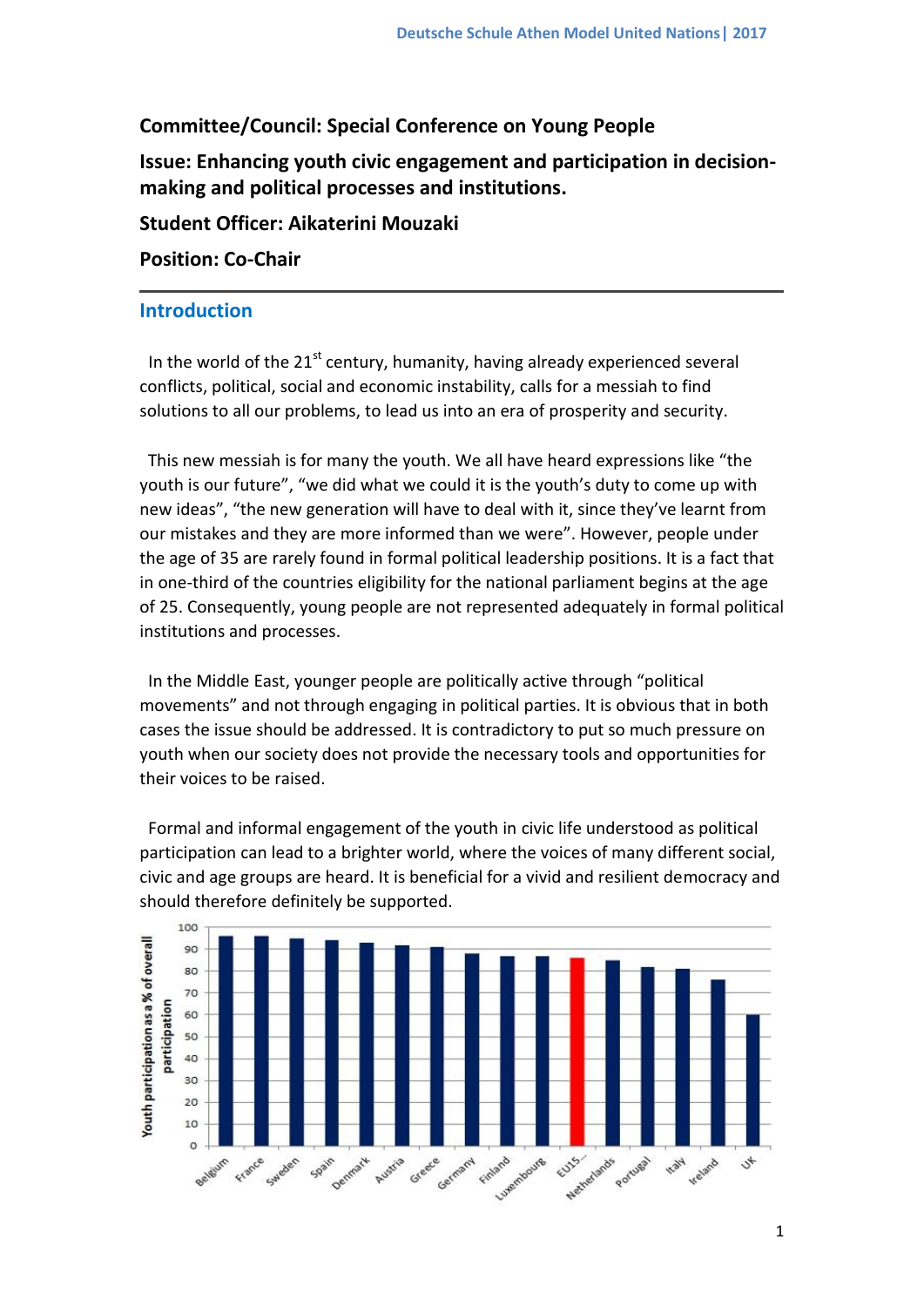## **Committee/Council: Special Conference on Young People**

**Issue: Enhancing youth civic engagement and participation in decisionmaking and political processes and institutions.**

**Student Officer: Aikaterini Mouzaki**

### **Position: Co-Chair**

### **Introduction**

In the world of the  $21^{st}$  century, humanity, having already experienced several conflicts, political, social and economic instability, calls for a messiah to find solutions to all our problems, to lead us into an era of prosperity and security.

This new messiah is for many the youth. We all have heard expressions like "the youth is our future", "we did what we could it is the youth's duty to come up with new ideas", "the new generation will have to deal with it, since they've learnt from our mistakes and they are more informed than we were". However, people under the age of 35 are rarely found in formal political leadership positions. It is a fact that in one-third of the countries eligibility for the national parliament begins at the age of 25. Consequently, young people are not represented adequately in formal political institutions and processes.

In the Middle East, younger people are politically active through "political movements" and not through engaging in political parties. It is obvious that in both cases the issue should be addressed. It is contradictory to put so much pressure on youth when our society does not provide the necessary tools and opportunities for their voices to be raised.

Formal and informal engagement of the youth in civic life understood as political participation can lead to a brighter world, where the voices of many different social, civic and age groups are heard. It is beneficial for a vivid and resilient democracy and should therefore definitely be supported.

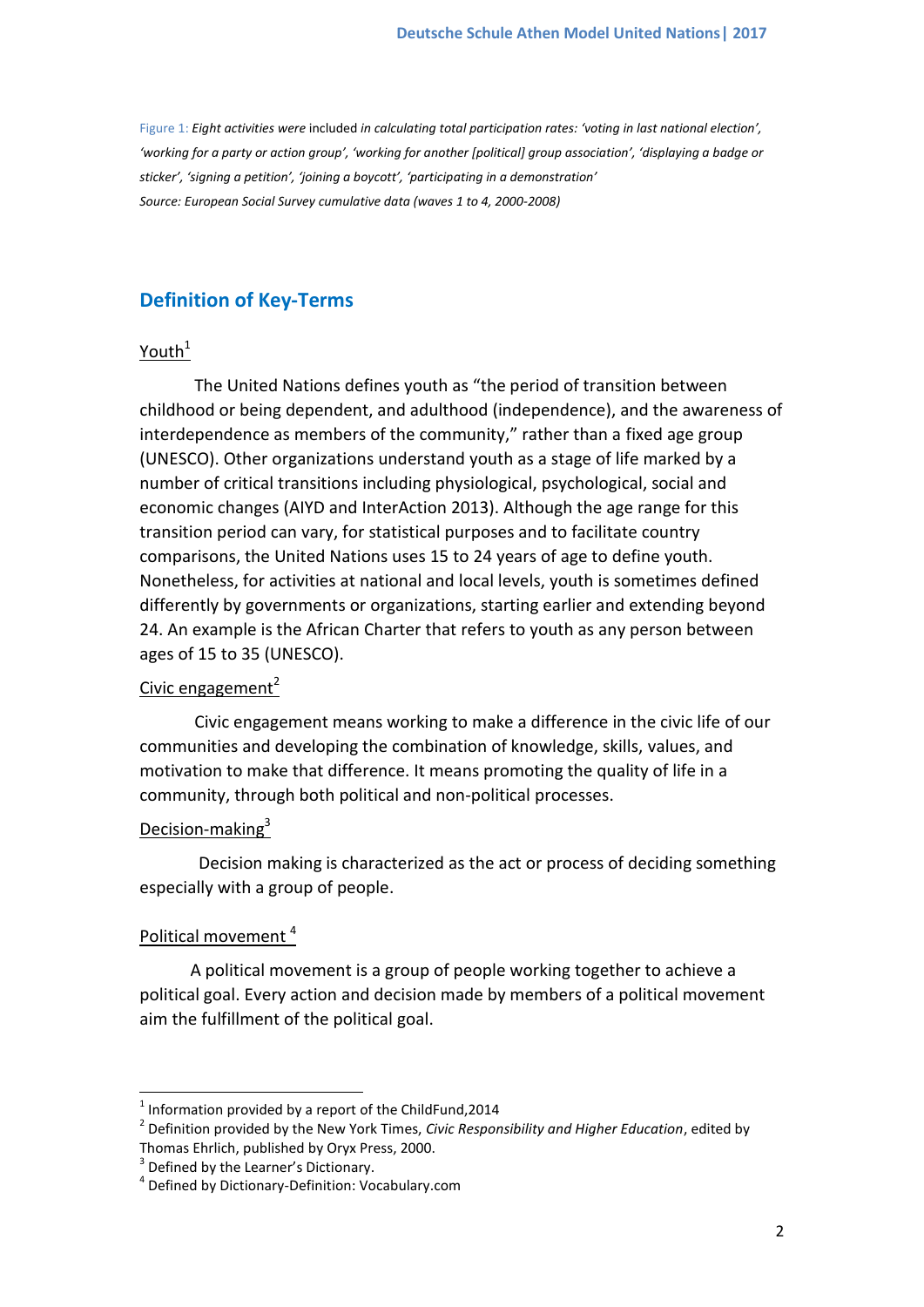Figure 1: *Eight activities were* included *in calculating total participation rates: 'voting in last national election', 'working for a party or action group', 'working for another [political] group association', 'displaying a badge or sticker', 'signing a petition', 'joining a boycott', 'participating in a demonstration' Source: [European Social Survey](http://www.europeansocialsurvey.org/) cumulative data (waves 1 to 4, 2000-2008)*

## **Definition of Key-Terms**

### Youth $1$

 The United Nations defines youth as "the period of transition between childhood or being dependent, and adulthood (independence), and the awareness of interdependence as members of the community," rather than a fixed age group (UNESCO). Other organizations understand youth as a stage of life marked by a number of critical transitions including physiological, psychological, social and economic changes (AIYD and InterAction 2013). Although the age range for this transition period can vary, for statistical purposes and to facilitate country comparisons, the United Nations uses 15 to 24 years of age to define youth. Nonetheless, for activities at national and local levels, youth is sometimes defined differently by governments or organizations, starting earlier and extending beyond 24. An example is the African Charter that refers to youth as any person between ages of 15 to 35 (UNESCO).

### Civic engagement $2$

 Civic engagement means working to make a difference in the civic life of our communities and developing the combination of knowledge, skills, values, and motivation to make that difference. It means promoting the quality of life in a community, through both political and non-political processes.

### Decision-making<sup>3</sup>

 Decision making is characterized as the act or process of deciding something especially with a group of people.

### Political movement<sup>4</sup>

 $\overline{\phantom{a}}$ 

 A political movement is a group of people working together to achieve a political goal. Every action and decision made by members of a political movement aim the fulfillment of the political goal.

 $<sup>1</sup>$  Information provided by a report of the ChildFund,2014</sup>

<sup>2</sup> Definition provided by the New York Times, *Civic Responsibility and Higher Education*, edited by

Thomas Ehrlich, published by Oryx Press, 2000.

<sup>&</sup>lt;sup>3</sup> Defined by the Learner's Dictionary.

<sup>4</sup> Defined by Dictionary-Definition: Vocabulary.com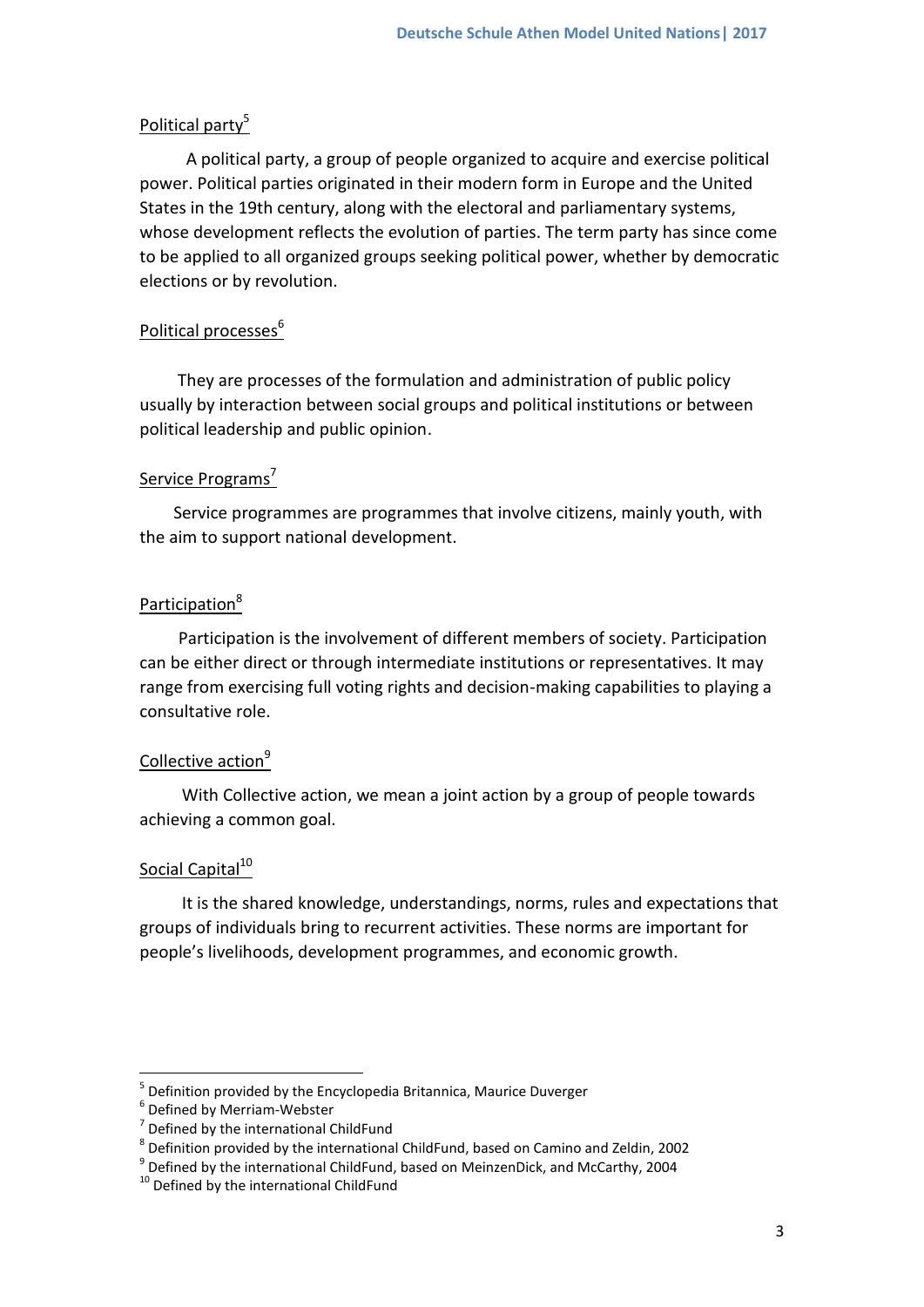### Political party<sup>5</sup>

 A political party, a group of people organized to acquire and exercise political power. Political parties originated in their modern form in Europe and the United States in the 19th century, along with the electoral and parliamentary systems, whose development reflects the evolution of parties. The term party has since come to be applied to all organized groups seeking political power, whether by democratic elections or by revolution.

#### Political processes<sup>6</sup>

 They are processes of the formulation and administration of public policy usually by interaction between social groups and political institutions or between political leadership and public opinion.

### Service Programs<sup>7</sup>

 Service programmes are programmes that involve citizens, mainly youth, with the aim to support national development.

### Participation<sup>8</sup>

 Participation is the involvement of different members of society. Participation can be either direct or through intermediate institutions or representatives. It may range from exercising full voting rights and decision-making capabilities to playing a consultative role.

### Collective action<sup>9</sup>

 With Collective action, we mean a joint action by a group of people towards achieving a common goal.

### Social Capital<sup>10</sup>

**.** 

 It is the shared knowledge, understandings, norms, rules and expectations that groups of individuals bring to recurrent activities. These norms are important for people's livelihoods, development programmes, and economic growth.

<sup>5</sup> Definition provided by the Encyclopedia Britannica, Maurice Duverger

<sup>6</sup> Defined by Merriam-Webster

<sup>&</sup>lt;sup>7</sup> Defined by the international ChildFund

 $^8$  Definition provided by the international ChildFund, based on Camino and Zeldin, 2002

<sup>&</sup>lt;sup>9</sup> Defined by the international ChildFund, based on MeinzenDick, and McCarthy, 2004

 $10$  Defined by the international ChildFund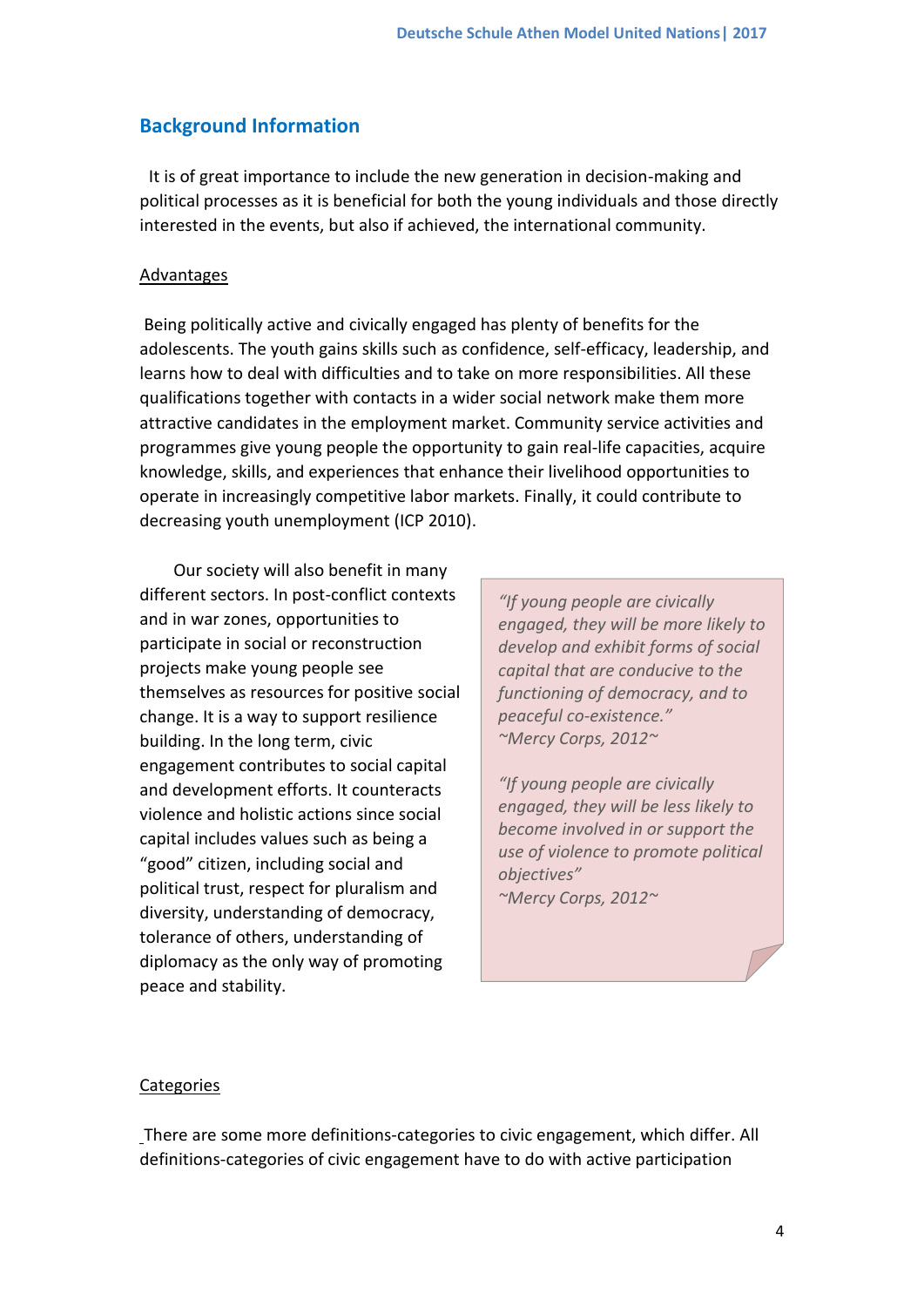## **Background Information**

It is of great importance to include the new generation in decision-making and political processes as it is beneficial for both the young individuals and those directly interested in the events, but also if achieved, the international community.

#### Advantages

Being politically active and civically engaged has plenty of benefits for the adolescents. The youth gains skills such as confidence, self-efficacy, leadership, and learns how to deal with difficulties and to take on more responsibilities. All these qualifications together with contacts in a wider social network make them more attractive candidates in the employment market. Community service activities and programmes give young people the opportunity to gain real-life capacities, acquire knowledge, skills, and experiences that enhance their livelihood opportunities to operate in increasingly competitive labor markets. Finally, it could contribute to decreasing youth unemployment (ICP 2010).

 Our society will also benefit in many different sectors. In post-conflict contexts and in war zones, opportunities to participate in social or reconstruction projects make young people see themselves as resources for positive social change. It is a way to support resilience building. In the long term, civic engagement contributes to social capital and development efforts. It counteracts violence and holistic actions since social capital includes values such as being a "good" citizen, including social and political trust, respect for pluralism and diversity, understanding of democracy, tolerance of others, understanding of diplomacy as the only way of promoting peace and stability.

*"If young people are civically engaged, they will be more likely to develop and exhibit forms of social capital that are conducive to the functioning of democracy, and to peaceful co-existence." ~Mercy Corps, 2012~*

*"If young people are civically engaged, they will be less likely to become involved in or support the use of violence to promote political objectives" ~Mercy Corps, 2012~*

#### **Categories**

There are some more definitions-categories to civic engagement, which differ. All definitions-categories of civic engagement have to do with active participation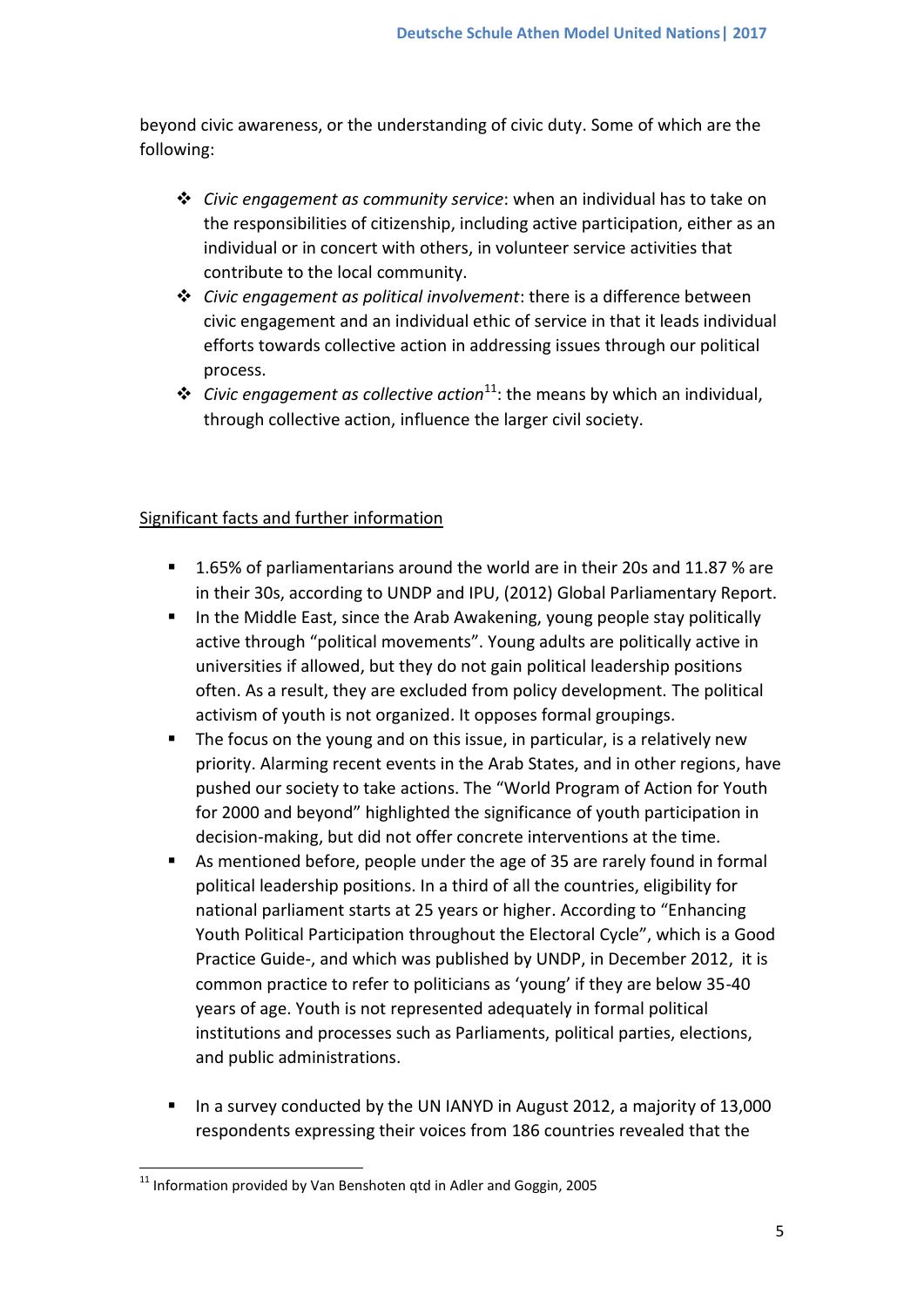beyond civic awareness, or the understanding of civic duty. Some of which are the following:

- *Civic engagement as community service*: when an individual has to take on the responsibilities of citizenship, including active participation, either as an individual or in concert with others, in volunteer service activities that contribute to the local community.
- *Civic engagement as political involvement*: there is a difference between civic engagement and an individual ethic of service in that it leads individual efforts towards collective action in addressing issues through our political process.
- **❖** *Civic engagement as collective action*<sup>11</sup>: the means by which an individual, through collective action, influence the larger civil society.

### Significant facts and further information

- 1.65% of parliamentarians around the world are in their 20s and 11.87 % are in their 30s, according to UNDP and IPU, (2012) Global Parliamentary Report.
- In the Middle East, since the Arab Awakening, young people stay politically active through "political movements". Young adults are politically active in universities if allowed, but they do not gain political leadership positions often. As a result, they are excluded from policy development. The political activism of youth is not organized. It opposes formal groupings.
- The focus on the young and on this issue, in particular, is a relatively new priority. Alarming recent events in the Arab States, and in other regions, have pushed our society to take actions. The "World Program of Action for Youth for 2000 and beyond" highlighted the significance of youth participation in decision-making, but did not offer concrete interventions at the time.
- As mentioned before, people under the age of 35 are rarely found in formal political leadership positions. In a third of all the countries, eligibility for national parliament starts at 25 years or higher. According to "Enhancing Youth Political Participation throughout the Electoral Cycle", which is a Good Practice Guide-, and which was published by UNDP, in December 2012, it is common practice to refer to politicians as 'young' if they are below 35-40 years of age. Youth is not represented adequately in formal political institutions and processes such as Parliaments, political parties, elections, and public administrations.
- In a survey conducted by the UN IANYD in August 2012, a majority of 13,000 respondents expressing their voices from 186 countries revealed that the

**<sup>.</sup>**  $11$  Information provided by Van Benshoten gtd in Adler and Goggin, 2005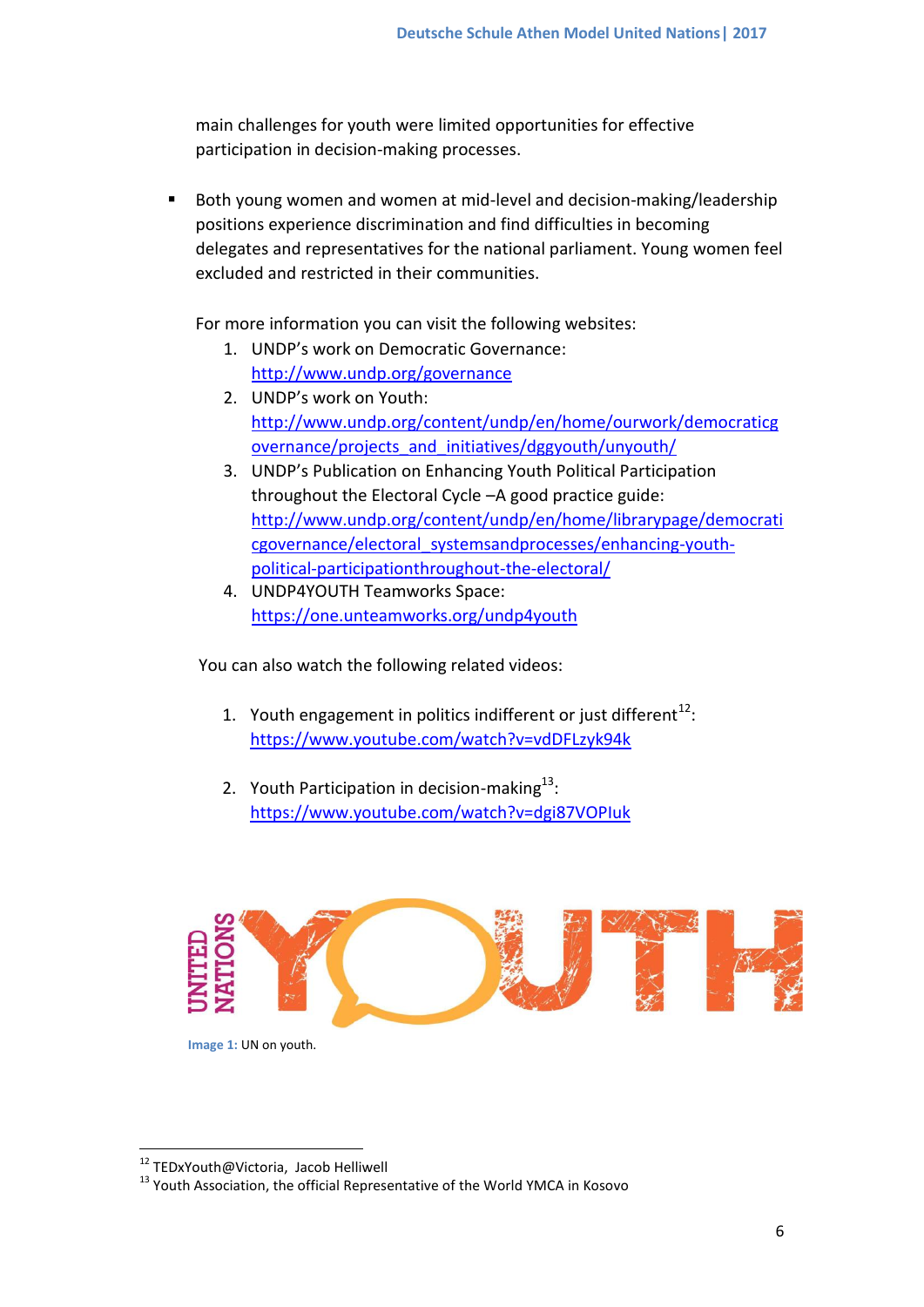main challenges for youth were limited opportunities for effective participation in decision-making processes.

 Both young women and women at mid-level and decision-making/leadership positions experience discrimination and find difficulties in becoming delegates and representatives for the national parliament. Young women feel excluded and restricted in their communities.

For more information you can visit the following websites:

- 1. UNDP's work on Democratic Governance: <http://www.undp.org/governance>
- 2. UNDP's work on Youth: [http://www.undp.org/content/undp/en/home/ourwork/democraticg](http://www.undp.org/content/undp/en/home/ourwork/democraticgovernance/projects_and_initiatives/dggyouth/unyouth/) [overnance/projects\\_and\\_initiatives/dggyouth/unyouth/](http://www.undp.org/content/undp/en/home/ourwork/democraticgovernance/projects_and_initiatives/dggyouth/unyouth/)
- 3. UNDP's Publication on Enhancing Youth Political Participation throughout the Electoral Cycle –A good practice guide: [http://www.undp.org/content/undp/en/home/librarypage/democrati](http://www.undp.org/content/undp/en/home/librarypage/democraticgovernance/electoral_systemsandprocesses/enhancing-youth-political-participationthroughout-the-electoral/) [cgovernance/electoral\\_systemsandprocesses/enhancing-youth](http://www.undp.org/content/undp/en/home/librarypage/democraticgovernance/electoral_systemsandprocesses/enhancing-youth-political-participationthroughout-the-electoral/)[political-participationthroughout-the-electoral/](http://www.undp.org/content/undp/en/home/librarypage/democraticgovernance/electoral_systemsandprocesses/enhancing-youth-political-participationthroughout-the-electoral/)
- 4. UNDP4YOUTH Teamworks Space: <https://one.unteamworks.org/undp4youth>

You can also watch the following related videos:

- 1. Youth engagement in politics indifferent or just different<sup>12</sup>: <https://www.youtube.com/watch?v=vdDFLzyk94k>
- 2. Youth Participation in decision-making $^{13}$ : <https://www.youtube.com/watch?v=dgi87VOPIuk>



**Image 1:** UN on youth.

**.** 

<sup>&</sup>lt;sup>12</sup> TEDxYouth@Victoria, Jacob Helliwell

<sup>&</sup>lt;sup>13</sup> Youth Association, the official Representative of the World YMCA in Kosovo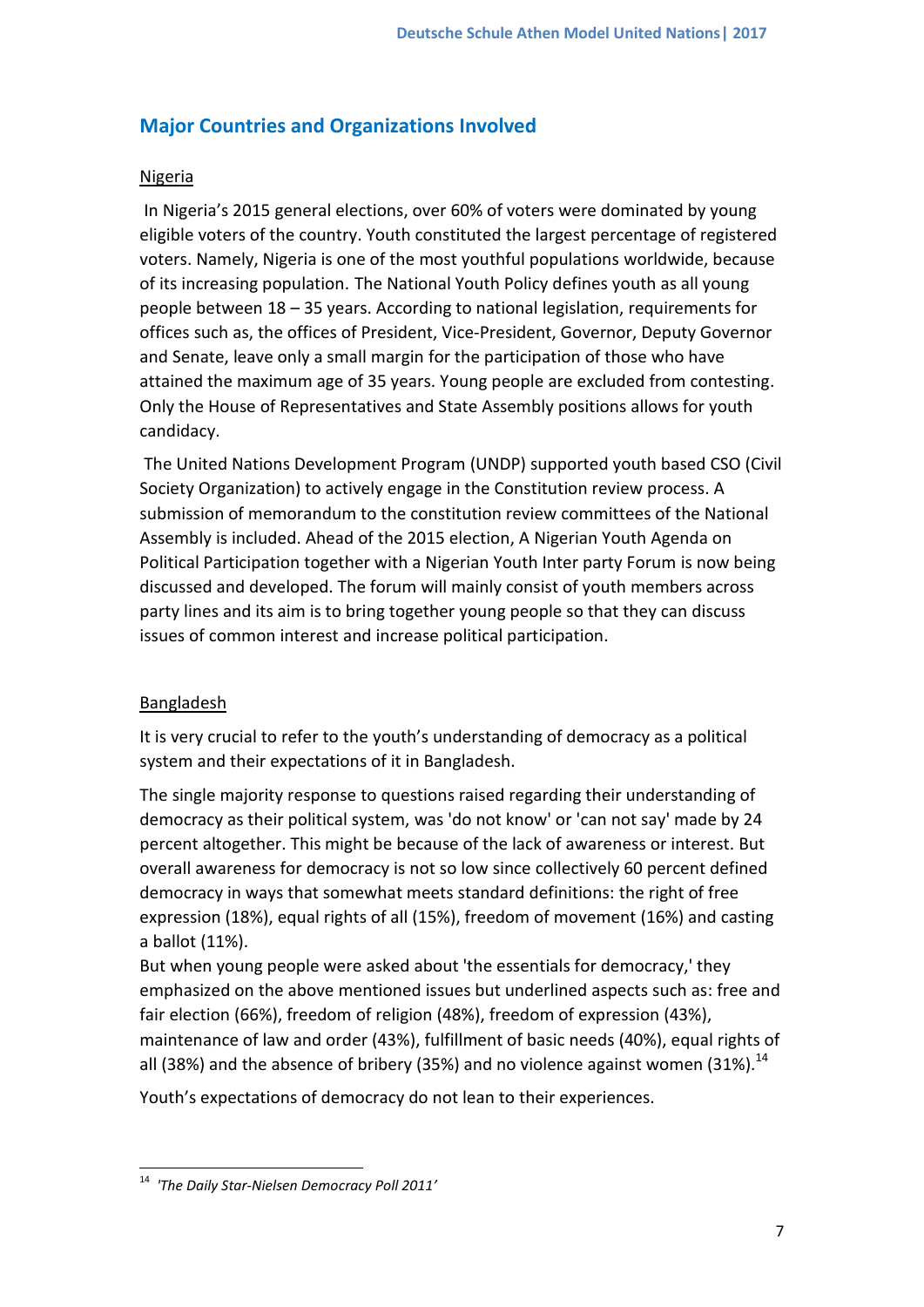# **Major Countries and Organizations Involved**

## Nigeria

In Nigeria's 2015 general elections, over 60% of voters were dominated by young eligible voters of the country. Youth constituted the largest percentage of registered voters. Namely, Nigeria is one of the most youthful populations worldwide, because of its increasing population. The National Youth Policy defines youth as all young people between 18 – 35 years. According to national legislation, requirements for offices such as, the offices of President, Vice-President, Governor, Deputy Governor and Senate, leave only a small margin for the participation of those who have attained the maximum age of 35 years. Young people are excluded from contesting. Only the House of Representatives and State Assembly positions allows for youth candidacy.

The United Nations Development Program (UNDP) supported youth based CSO (Civil Society Organization) to actively engage in the Constitution review process. A submission of memorandum to the constitution review committees of the National Assembly is included. Ahead of the 2015 election, A Nigerian Youth Agenda on Political Participation together with a Nigerian Youth Inter party Forum is now being discussed and developed. The forum will mainly consist of youth members across party lines and its aim is to bring together young people so that they can discuss issues of common interest and increase political participation.

## **Bangladesh**

It is very crucial to refer to the youth's understanding of democracy as a political system and their expectations of it in Bangladesh.

The single majority response to questions raised regarding their understanding of democracy as their political system, was 'do not know' or 'can not say' made by 24 percent altogether. This might be because of the lack of awareness or interest. But overall awareness for democracy is not so low since collectively 60 percent defined democracy in ways that somewhat meets standard definitions: the right of free expression (18%), equal rights of all (15%), freedom of movement (16%) and casting a ballot (11%).

But when young people were asked about 'the essentials for democracy,' they emphasized on the above mentioned issues but underlined aspects such as: free and fair election (66%), freedom of religion (48%), freedom of expression (43%), maintenance of law and order (43%), fulfillment of basic needs (40%), equal rights of all (38%) and the absence of bribery (35%) and no violence against women (31%).<sup>14</sup>

Youth's expectations of democracy do not lean to their experiences.

**<sup>.</sup>** <sup>14</sup> *'The Daily Star-Nielsen Democracy Poll 2011'*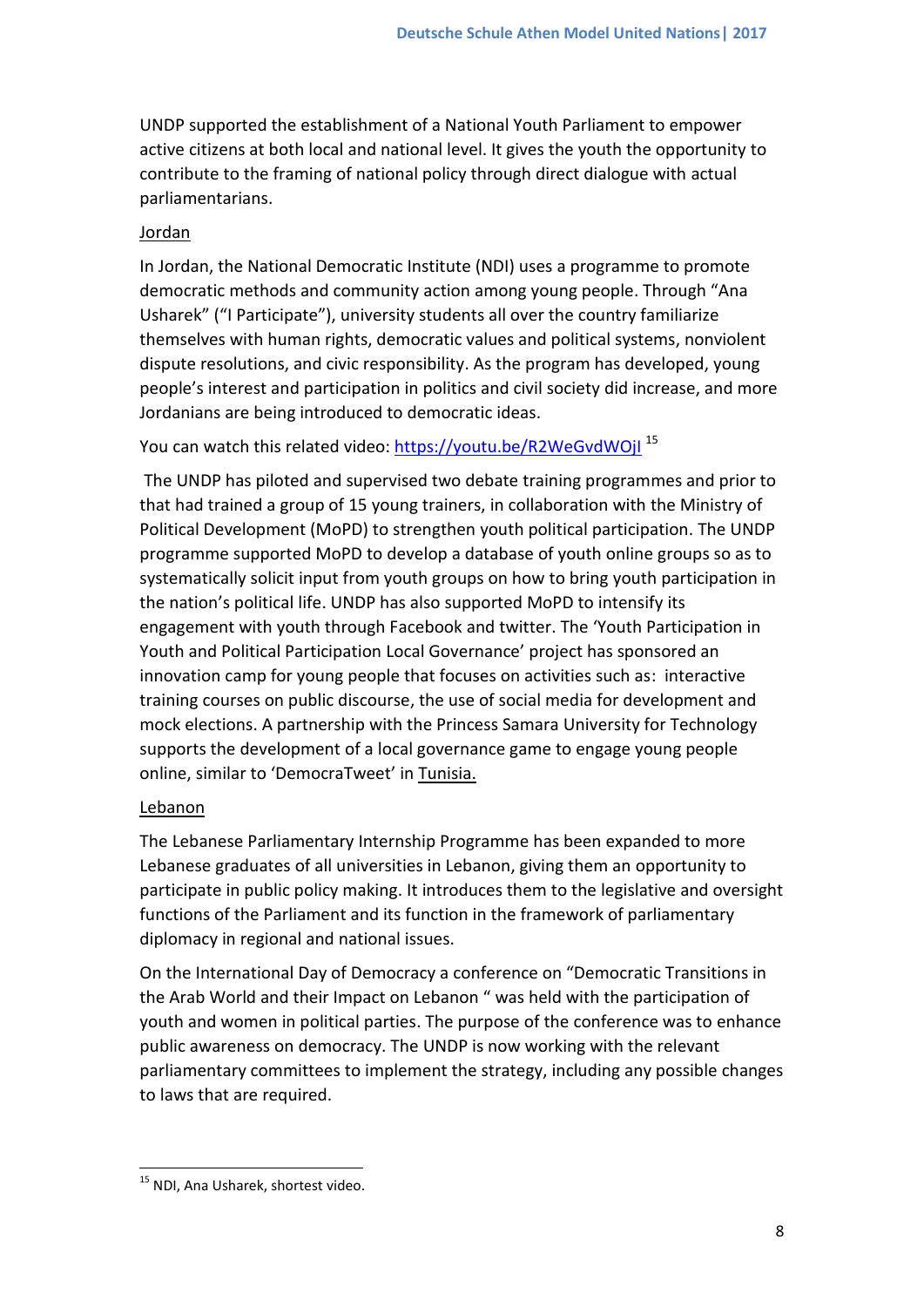UNDP supported the establishment of a National Youth Parliament to empower active citizens at both local and national level. It gives the youth the opportunity to contribute to the framing of national policy through direct dialogue with actual parliamentarians.

### Jordan

In Jordan, the National Democratic Institute (NDI) uses a programme to promote democratic methods and community action among young people. Through "Ana Usharek" ("I Participate"), university students all over the country familiarize themselves with human rights, democratic values and political systems, nonviolent dispute resolutions, and civic responsibility. As the program has developed, young people's interest and participation in politics and civil society did increase, and more Jordanians are being introduced to democratic ideas.

You can watch this related video: https://youtu.be/R2WeGvdWOjl<sup>15</sup>

The UNDP has piloted and supervised two debate training programmes and prior to that had trained a group of 15 young trainers, in collaboration with the Ministry of Political Development (MoPD) to strengthen youth political participation. The UNDP programme supported MoPD to develop a database of youth online groups so as to systematically solicit input from youth groups on how to bring youth participation in the nation's political life. UNDP has also supported MoPD to intensify its engagement with youth through Facebook and twitter. The 'Youth Participation in Youth and Political Participation Local Governance' project has sponsored an innovation camp for young people that focuses on activities such as: interactive training courses on public discourse, the use of social media for development and mock elections. A partnership with the Princess Samara University for Technology supports the development of a local governance game to engage young people online, similar to 'DemocraTweet' in Tunisia.

## **Lebanon**

The Lebanese Parliamentary Internship Programme has been expanded to more Lebanese graduates of all universities in Lebanon, giving them an opportunity to participate in public policy making. It introduces them to the legislative and oversight functions of the Parliament and its function in the framework of parliamentary diplomacy in regional and national issues.

On the International Day of Democracy a conference on "Democratic Transitions in the Arab World and their Impact on Lebanon " was held with the participation of youth and women in political parties. The purpose of the conference was to enhance public awareness on democracy. The UNDP is now working with the relevant parliamentary committees to implement the strategy, including any possible changes to laws that are required.

**<sup>.</sup>** <sup>15</sup> NDI. Ana Usharek, shortest video.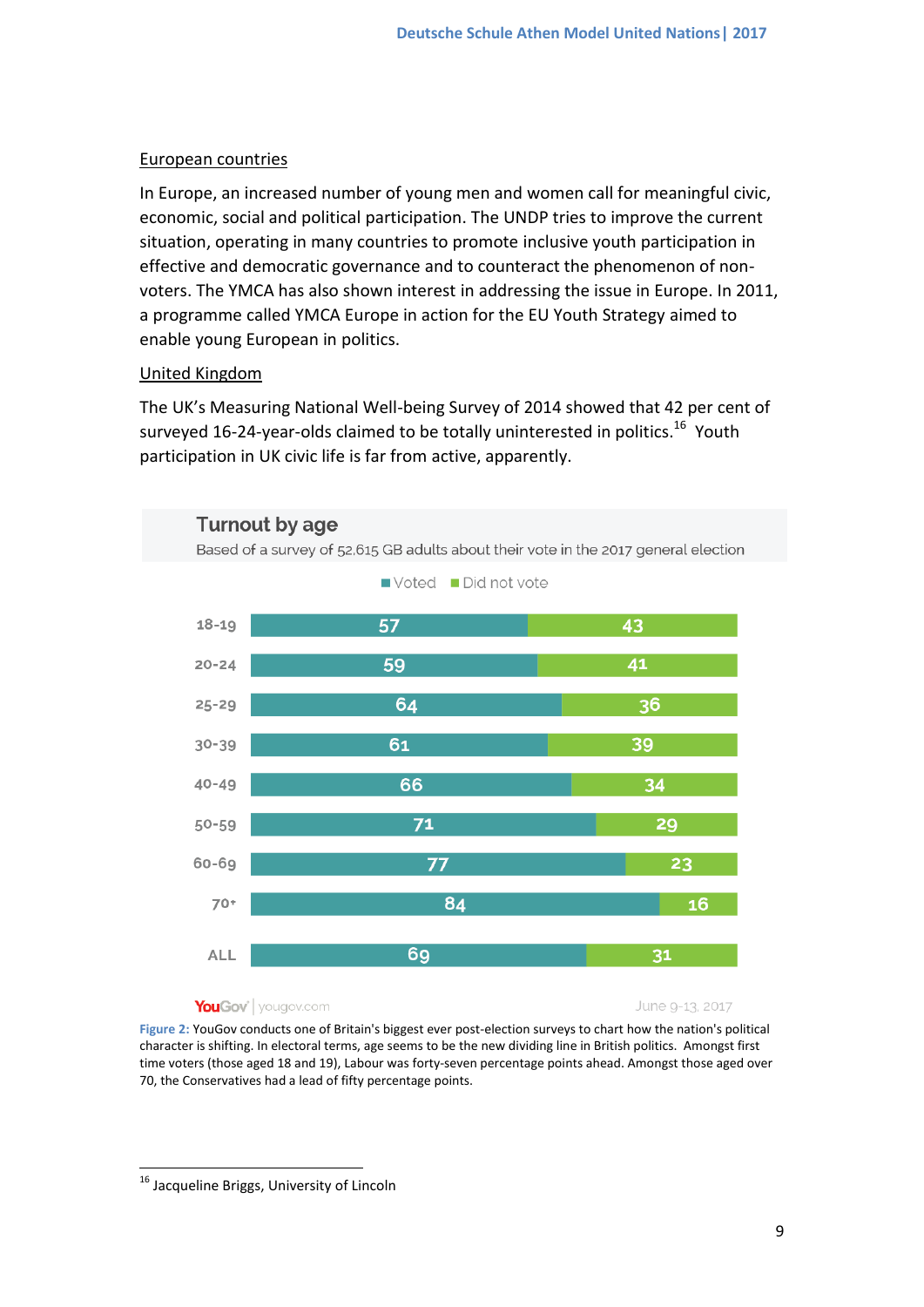### European countries

In Europe, an increased number of young men and women call for meaningful civic, economic, social and political participation. The UNDP tries to improve the current situation, operating in many countries to promote inclusive youth participation in effective and democratic governance and to counteract the phenomenon of nonvoters. The YMCA has also shown interest in addressing the issue in Europe. In 2011, a programme called YMCA Europe in action for the EU Youth Strategy aimed to enable young European in politics.

## United Kingdom

The UK's Measuring National Well-being Survey of 2014 showed that 42 per cent of surveyed 16-24-year-olds claimed to be totally uninterested in politics.<sup>16</sup> Youth participation in UK civic life is far from active, apparently.



#### YouGov' | yougov.com

June 9-13, 2017

**Figure 2:** YouGov conducts one of Britain's biggest ever post-election surveys to chart how the nation's political character is shifting. In electoral terms, age seems to be the new dividing line in British politics. Amongst first time voters (those aged 18 and 19), Labour was forty-seven percentage points ahead. Amongst those aged over 70, the Conservatives had a lead of fifty percentage points.

**<sup>.</sup>** <sup>16</sup> Jacqueline Briggs, University of Lincoln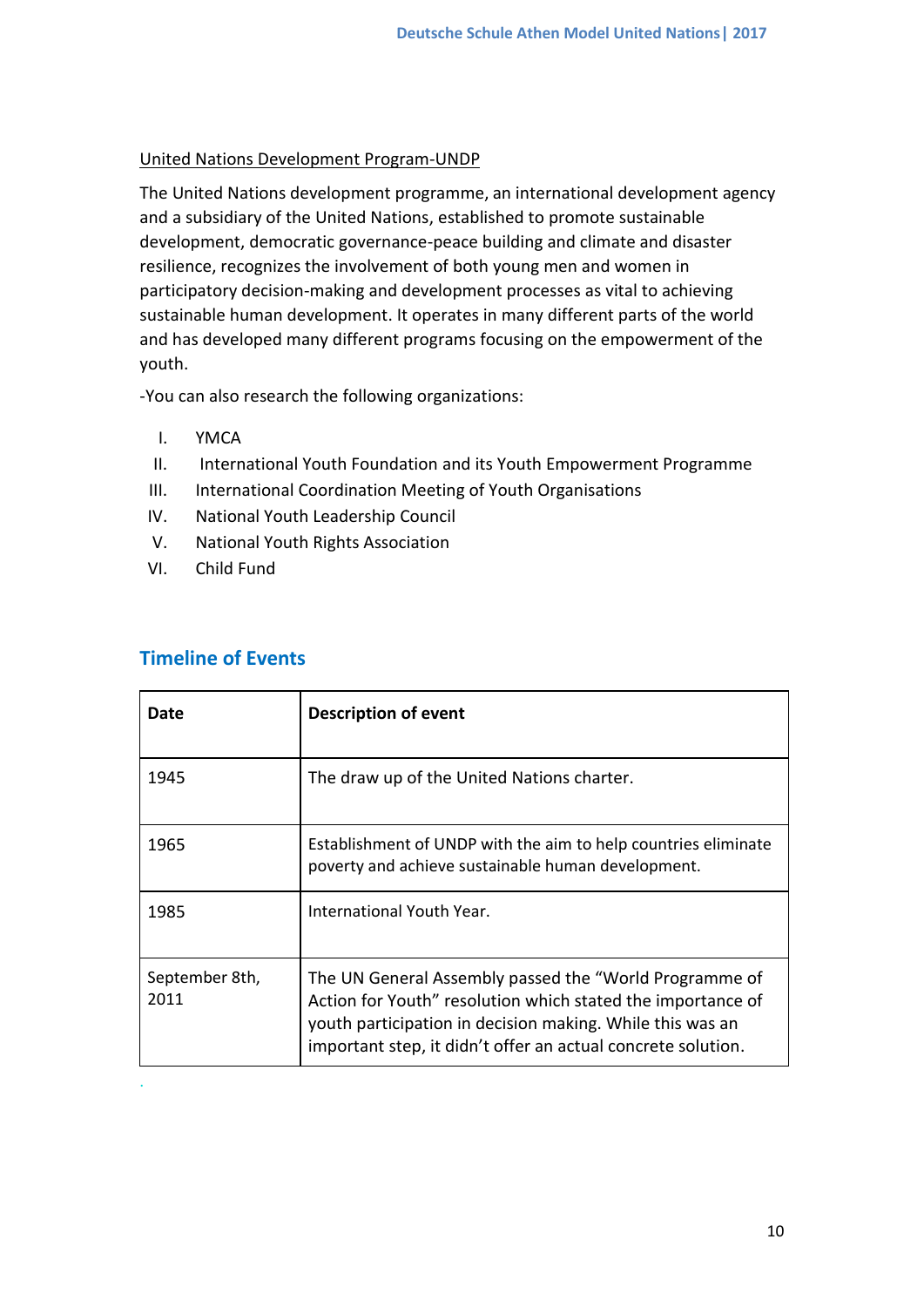### United Nations Development Program-UNDP

The United Nations development programme, an international development agency and a subsidiary of the United Nations, established to promote sustainable development, democratic governance-peace building and climate and disaster resilience, recognizes the involvement of both young men and women in participatory decision-making and development processes as vital to achieving sustainable human development. It operates in many different parts of the world and has developed many different programs focusing on the empowerment of the youth.

-You can also research the following organizations:

- I. YMCA
- II. International Youth Foundation and its Youth Empowerment Programme
- III. International Coordination Meeting of Youth Organisations
- IV. National Youth Leadership Council
- V. National Youth Rights Association
- VI. Child Fund

| Date                   | <b>Description of event</b>                                                                                                                                                                                                                        |
|------------------------|----------------------------------------------------------------------------------------------------------------------------------------------------------------------------------------------------------------------------------------------------|
| 1945                   | The draw up of the United Nations charter.                                                                                                                                                                                                         |
| 1965                   | Establishment of UNDP with the aim to help countries eliminate<br>poverty and achieve sustainable human development.                                                                                                                               |
| 1985                   | International Youth Year.                                                                                                                                                                                                                          |
| September 8th,<br>2011 | The UN General Assembly passed the "World Programme of<br>Action for Youth" resolution which stated the importance of<br>youth participation in decision making. While this was an<br>important step, it didn't offer an actual concrete solution. |

## **Timeline of Events**

.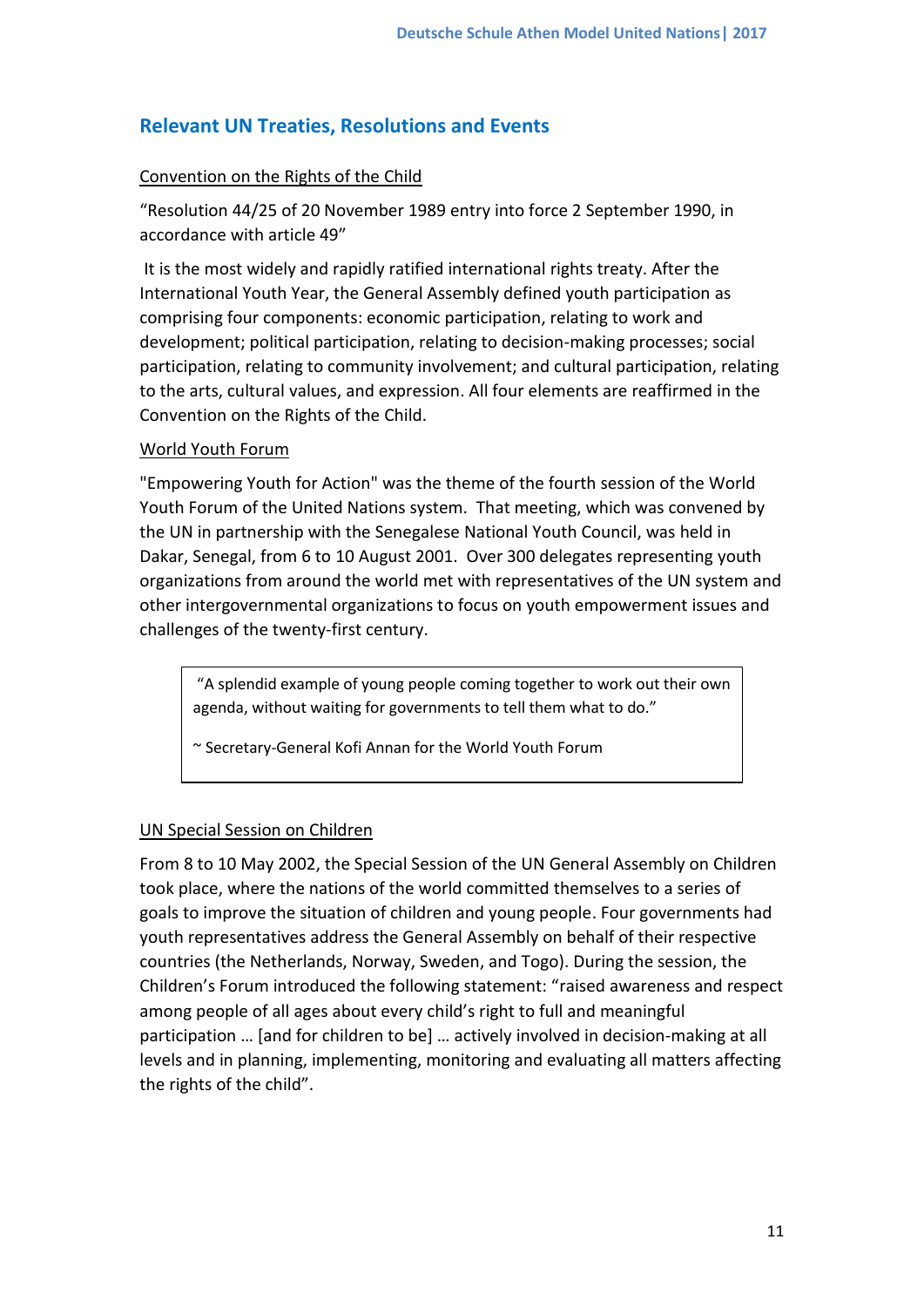# **Relevant UN Treaties, Resolutions and Events**

### Convention on the Rights of the Child

"Resolution 44/25 of 20 November 1989 entry into force 2 September 1990, in accordance with article 49"

It is the most widely and rapidly ratified international rights treaty. After the International Youth Year, the General Assembly defined youth participation as comprising four components: economic participation, relating to work and development; political participation, relating to decision-making processes; social participation, relating to community involvement; and cultural participation, relating to the arts, cultural values, and expression. All four elements are reaffirmed in the Convention on the Rights of the Child.

### World Youth Forum

"Empowering Youth for Action" was the theme of the fourth session of the World Youth Forum of the United Nations system. That meeting, which was convened by the UN in partnership with the Senegalese National Youth Council, was held in Dakar, Senegal, from 6 to 10 August 2001. Over 300 delegates representing youth organizations from around the world met with representatives of the UN system and other intergovernmental organizations to focus on youth empowerment issues and challenges of the twenty-first century.

"A splendid example of young people coming together to work out their own agenda, without waiting for governments to tell them what to do."

~ Secretary-General Kofi Annan for the World Youth Forum

### UN Special Session on Children

From 8 to 10 May 2002, the Special Session of the UN General Assembly on Children took place, where the nations of the world committed themselves to a series of goals to improve the situation of children and young people. Four governments had youth representatives address the General Assembly on behalf of their respective countries (the Netherlands, Norway, Sweden, and Togo). During the session, the Children's Forum introduced the following statement: "raised awareness and respect among people of all ages about every child's right to full and meaningful participation … [and for children to be] … actively involved in decision-making at all levels and in planning, implementing, monitoring and evaluating all matters affecting the rights of the child".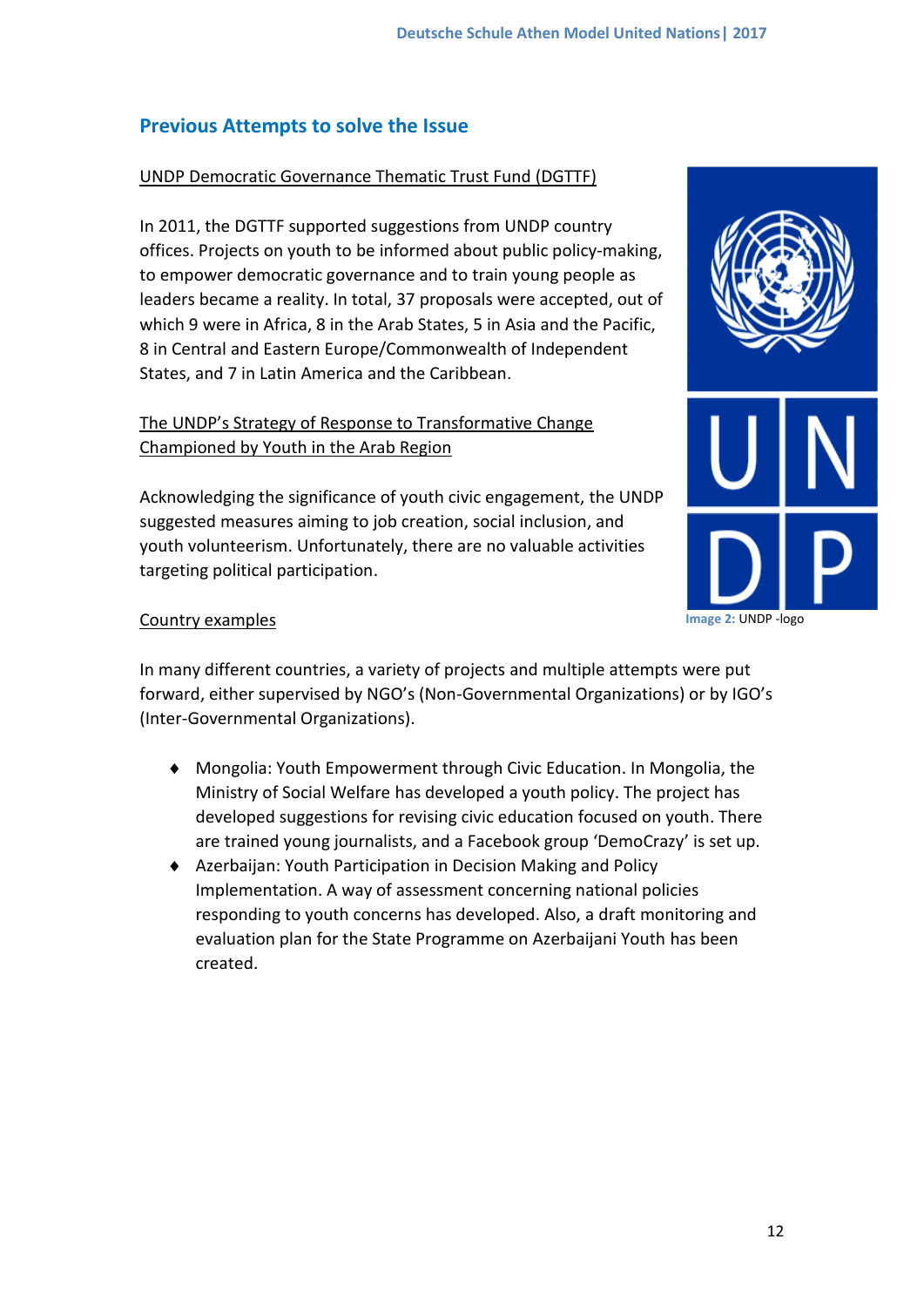# **Previous Attempts to solve the Issue**

### UNDP Democratic Governance Thematic Trust Fund (DGTTF)

In 2011, the DGTTF supported suggestions from UNDP country offices. Projects on youth to be informed about public policy-making, to empower democratic governance and to train young people as leaders became a reality. In total, 37 proposals were accepted, out of which 9 were in Africa, 8 in the Arab States, 5 in Asia and the Pacific, 8 in Central and Eastern Europe/Commonwealth of Independent States, and 7 in Latin America and the Caribbean.

## The UNDP's Strategy of Response to Transformative Change Championed by Youth in the Arab Region

Acknowledging the significance of youth civic engagement, the UNDP suggested measures aiming to job creation, social inclusion, and youth volunteerism. Unfortunately, there are no valuable activities targeting political participation.



### Country examples

In many different countries, a variety of projects and multiple attempts were put forward, either supervised by NGO's (Non-Governmental Organizations) or by IGO's (Inter-Governmental Organizations).

- Mongolia: Youth Empowerment through Civic Education. In Mongolia, the Ministry of Social Welfare has developed a youth policy. The project has developed suggestions for revising civic education focused on youth. There are trained young journalists, and a Facebook group 'DemoCrazy' is set up.
- Azerbaijan: Youth Participation in Decision Making and Policy Implementation. A way of assessment concerning national policies responding to youth concerns has developed. Also, a draft monitoring and evaluation plan for the State Programme on Azerbaijani Youth has been created.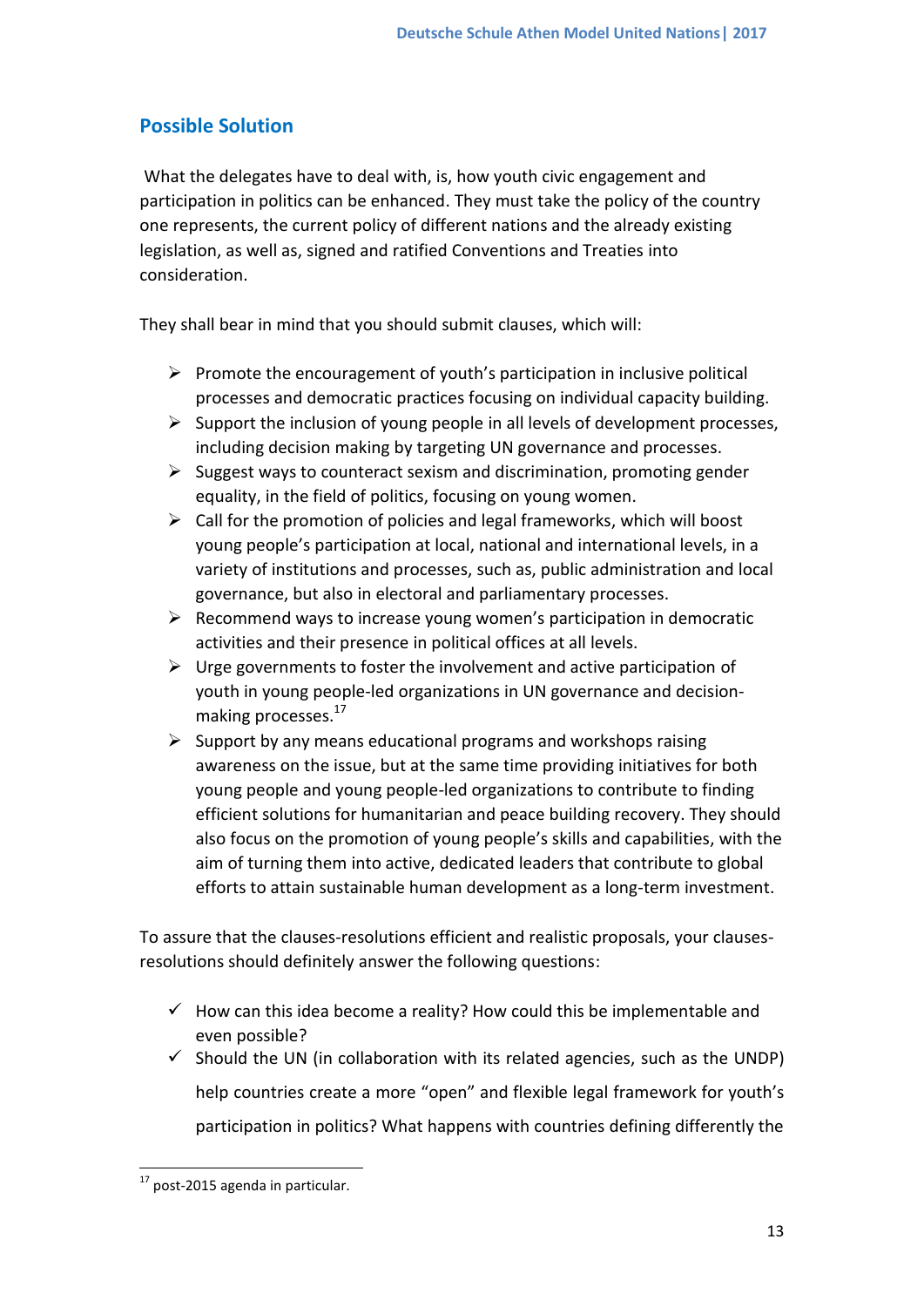# **Possible Solution**

What the delegates have to deal with, is, how youth civic engagement and participation in politics can be enhanced. They must take the policy of the country one represents, the current policy of different nations and the already existing legislation, as well as, signed and ratified Conventions and Treaties into consideration.

They shall bear in mind that you should submit clauses, which will:

- $\triangleright$  Promote the encouragement of youth's participation in inclusive political processes and democratic practices focusing on individual capacity building.
- $\triangleright$  Support the inclusion of young people in all levels of development processes, including decision making by targeting UN governance and processes.
- $\triangleright$  Suggest ways to counteract sexism and discrimination, promoting gender equality, in the field of politics, focusing on young women.
- $\triangleright$  Call for the promotion of policies and legal frameworks, which will boost young people's participation at local, national and international levels, in a variety of institutions and processes, such as, public administration and local governance, but also in electoral and parliamentary processes.
- $\triangleright$  Recommend ways to increase young women's participation in democratic activities and their presence in political offices at all levels.
- $\triangleright$  Urge governments to foster the involvement and active participation of youth in young people-led organizations in UN governance and decisionmaking processes.<sup>17</sup>
- $\triangleright$  Support by any means educational programs and workshops raising awareness on the issue, but at the same time providing initiatives for both young people and young people-led organizations to contribute to finding efficient solutions for humanitarian and peace building recovery. They should also focus on the promotion of young people's skills and capabilities, with the aim of turning them into active, dedicated leaders that contribute to global efforts to attain sustainable human development as a long-term investment.

To assure that the clauses-resolutions efficient and realistic proposals, your clausesresolutions should definitely answer the following questions:

- $\checkmark$  How can this idea become a reality? How could this be implementable and even possible?
- $\checkmark$  Should the UN (in collaboration with its related agencies, such as the UNDP) help countries create a more "open" and flexible legal framework for youth's participation in politics? What happens with countries defining differently the

**<sup>.</sup>**  $17$  post-2015 agenda in particular.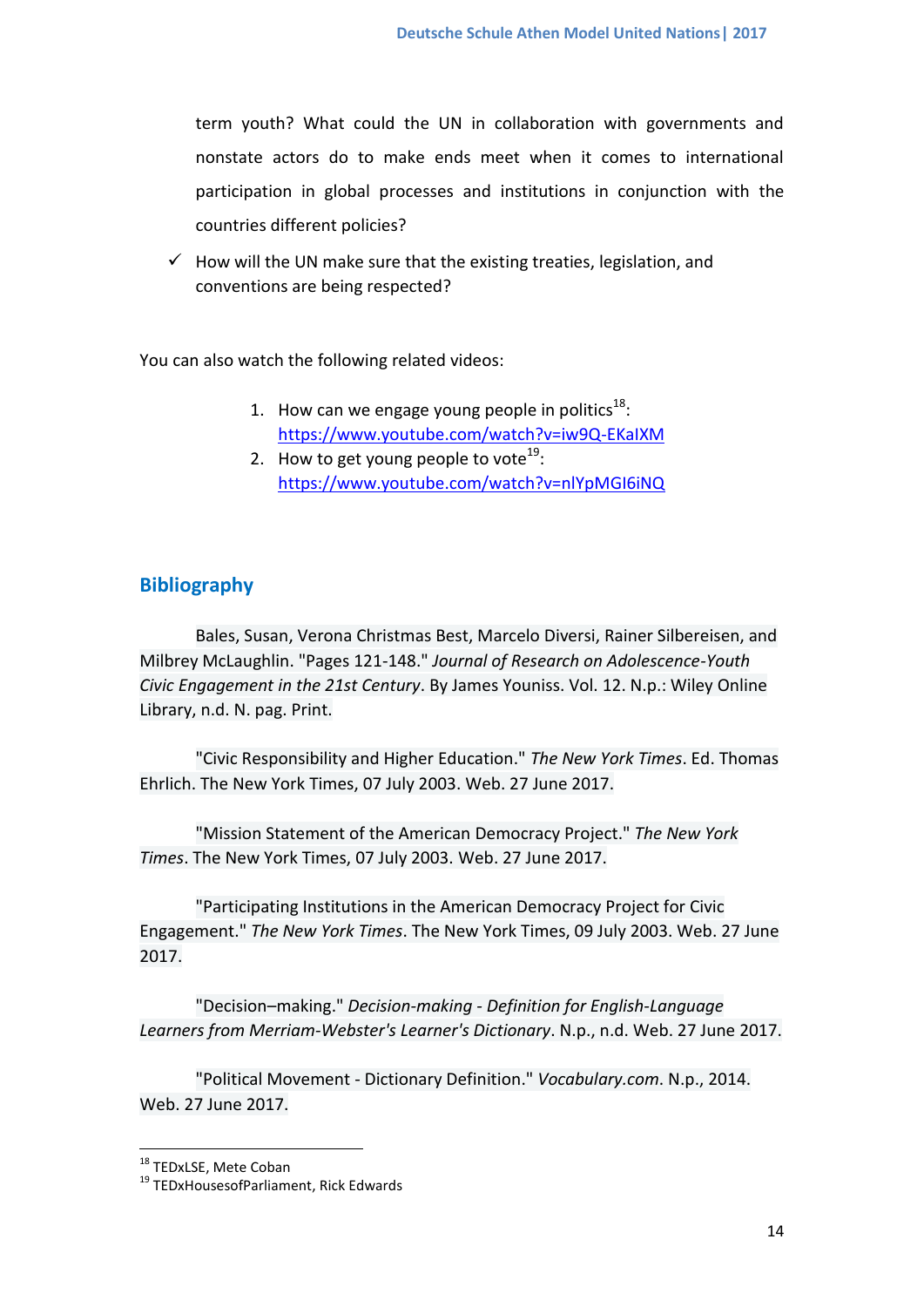term youth? What could the UN in collaboration with governments and nonstate actors do to make ends meet when it comes to international participation in global processes and institutions in conjunction with the countries different policies?

 $\checkmark$  How will the UN make sure that the existing treaties, legislation, and conventions are being respected?

You can also watch the following related videos:

- 1. How can we engage young people in politics $^{18}$ : <https://www.youtube.com/watch?v=iw9Q-EKaIXM>
- 2. How to get young people to vote<sup>19</sup>: <https://www.youtube.com/watch?v=nlYpMGI6iNQ>

### **Bibliography**

Bales, Susan, Verona Christmas Best, Marcelo Diversi, Rainer Silbereisen, and Milbrey McLaughlin. "Pages 121-148." *Journal of Research on Adolescence-Youth Civic Engagement in the 21st Century*. By James Youniss. Vol. 12. N.p.: Wiley Online Library, n.d. N. pag. Print.

"Civic Responsibility and Higher Education." *The New York Times*. Ed. Thomas Ehrlich. The New York Times, 07 July 2003. Web. 27 June 2017.

"Mission Statement of the American Democracy Project." *The New York Times*. The New York Times, 07 July 2003. Web. 27 June 2017.

"Participating Institutions in the American Democracy Project for Civic Engagement." *The New York Times*. The New York Times, 09 July 2003. Web. 27 June 2017.

"Decision–making." *Decision-making - Definition for English-Language Learners from Merriam-Webster's Learner's Dictionary*. N.p., n.d. Web. 27 June 2017.

"Political Movement - Dictionary Definition." *Vocabulary.com*. N.p., 2014. Web. 27 June 2017.

**.** 

<sup>&</sup>lt;sup>18</sup> TEDxLSE, Mete Coban

<sup>19</sup> TEDxHousesofParliament, Rick Edwards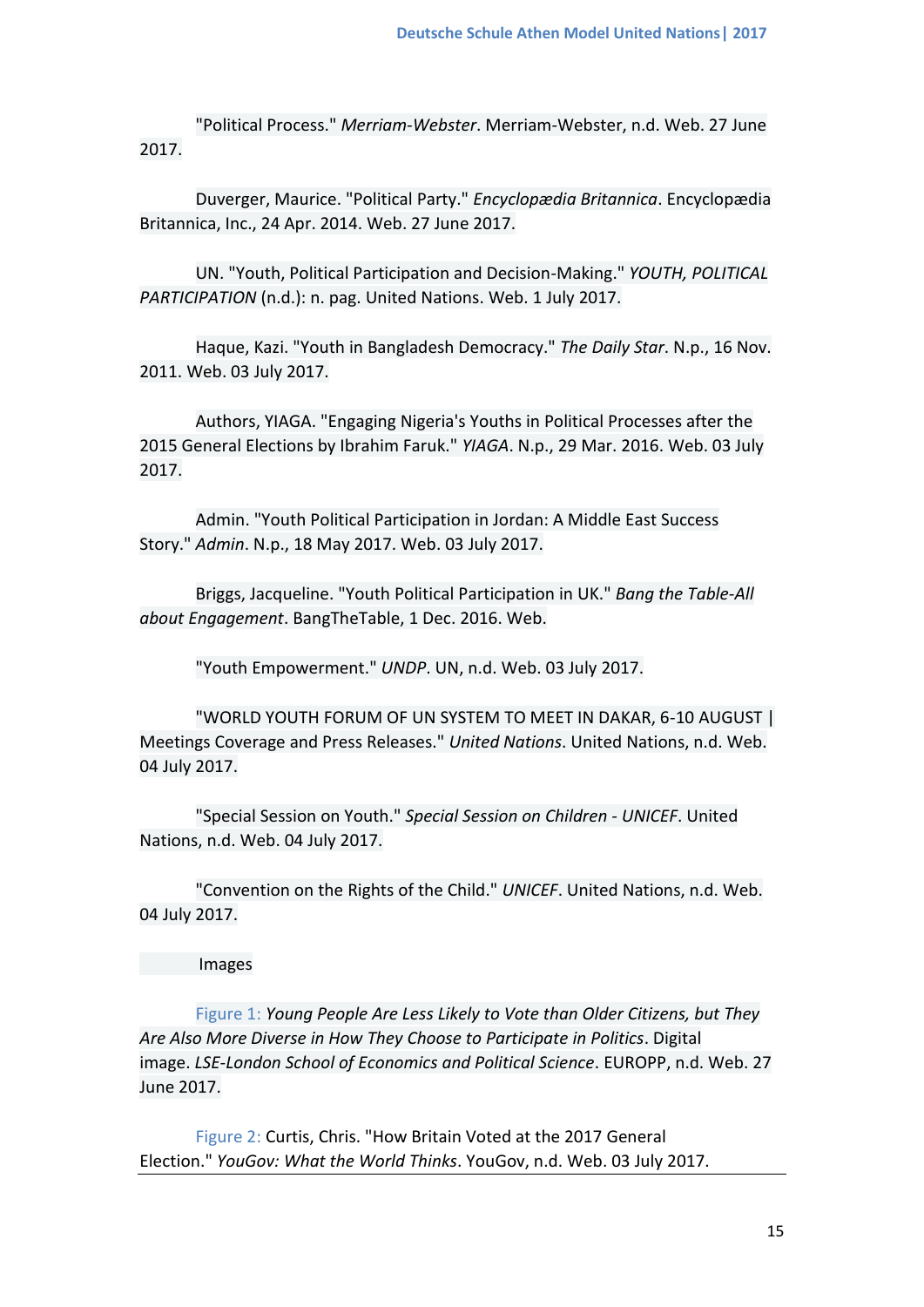"Political Process." *Merriam-Webster*. Merriam-Webster, n.d. Web. 27 June 2017.

Duverger, Maurice. "Political Party." *Encyclopædia Britannica*. Encyclopædia Britannica, Inc., 24 Apr. 2014. Web. 27 June 2017.

UN. "Youth, Political Participation and Decision-Making." *YOUTH, POLITICAL PARTICIPATION* (n.d.): n. pag. United Nations. Web. 1 July 2017.

Haque, Kazi. "Youth in Bangladesh Democracy." *The Daily Star*. N.p., 16 Nov. 2011. Web. 03 July 2017.

Authors, YIAGA. "Engaging Nigeria's Youths in Political Processes after the 2015 General Elections by Ibrahim Faruk." *YIAGA*. N.p., 29 Mar. 2016. Web. 03 July 2017.

Admin. "Youth Political Participation in Jordan: A Middle East Success Story." *Admin*. N.p., 18 May 2017. Web. 03 July 2017.

Briggs, Jacqueline. "Youth Political Participation in UK." *Bang the Table-All about Engagement*. BangTheTable, 1 Dec. 2016. Web.

"Youth Empowerment." *UNDP*. UN, n.d. Web. 03 July 2017.

"WORLD YOUTH FORUM OF UN SYSTEM TO MEET IN DAKAR, 6-10 AUGUST | Meetings Coverage and Press Releases." *United Nations*. United Nations, n.d. Web. 04 July 2017.

"Special Session on Youth." *Special Session on Children - UNICEF*. United Nations, n.d. Web. 04 July 2017.

"Convention on the Rights of the Child." *UNICEF*. United Nations, n.d. Web. 04 July 2017.

Images

Figure 1: *Young People Are Less Likely to Vote than Older Citizens, but They Are Also More Diverse in How They Choose to Participate in Politics*. Digital image. *LSE-London School of Economics and Political Science*. EUROPP, n.d. Web. 27 June 2017.

Figure 2: Curtis, Chris. "How Britain Voted at the 2017 General Election." *YouGov: What the World Thinks*. YouGov, n.d. Web. 03 July 2017.